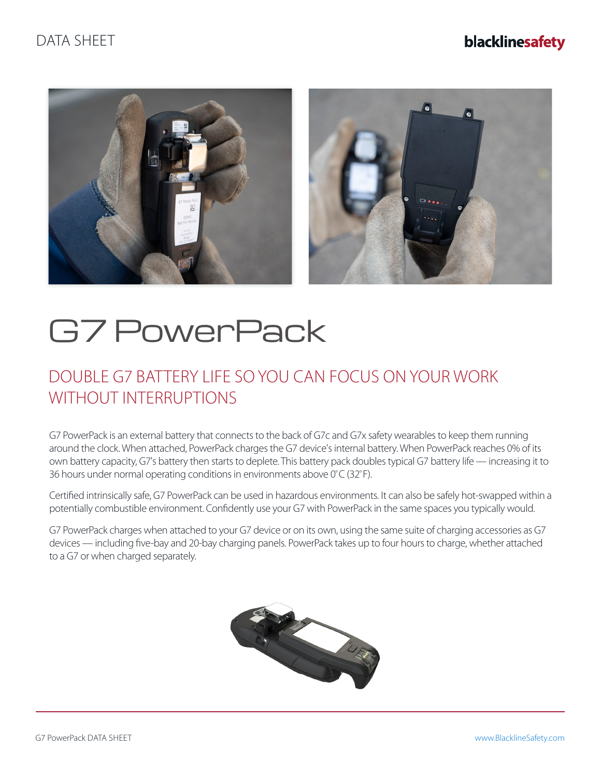## DATA SHEET

## blacklinesafety



# G7 PowerPack

## DOUBLE G7 BATTERY LIFE SO YOU CAN FOCUS ON YOUR WORK WITHOUT INTERRUPTIONS

G7 PowerPack is an external battery that connects to the back of G7c and G7x safety wearables to keep them running around the clock. When attached, PowerPack charges the G7 device's internal battery. When PowerPack reaches 0% of its own battery capacity, G7's battery then starts to deplete. This battery pack doubles typical G7 battery life — increasing it to 36 hours under normal operating conditions in environments above 0º C (32º F).

Certified intrinsically safe, G7 PowerPack can be used in hazardous environments. It can also be safely hot-swapped within a potentially combustible environment. Confidently use your G7 with PowerPack in the same spaces you typically would.

G7 PowerPack charges when attached to your G7 device or on its own, using the same suite of charging accessories as G7 devices — including five-bay and 20-bay charging panels. PowerPack takes up to four hours to charge, whether attached to a G7 or when charged separately.